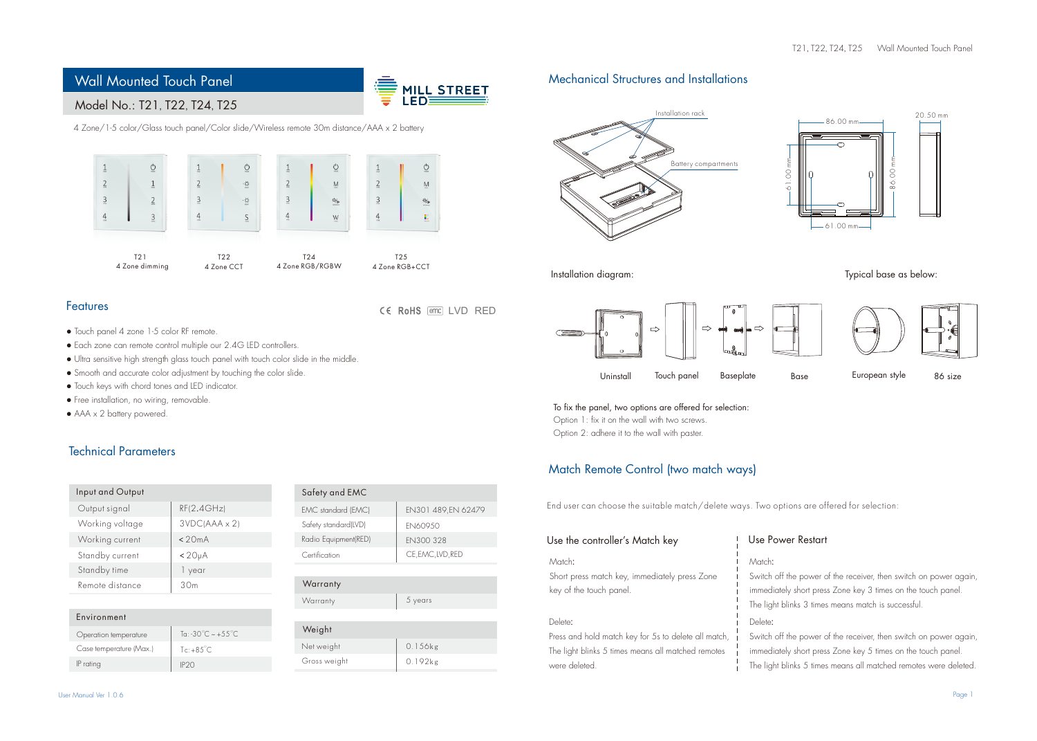

# Model No.: T21, T22, T24, T25

4 Zone/1-5 color/Glass touch panel/Color slide/Wireless remote 30m distance/AAA x 2 battery



CE RoHS FED LVD RED

# Features

- Touch panel 4 zone 1-5 color RF remote.
- Each zone can remote control multiple our 2.4G LED controllers.
- Ultra sensitive high strength glass touch panel with touch color slide in the middle.
- Smooth and accurate color adjustment by touching the color slide.
- Touch keys with chord tones and LED indicator.
- Free installation, no wiring, removable.
- AAA x 2 battery powered.

# Technical Parameters

| Input and Output |                     |
|------------------|---------------------|
| Output signal    | RF(2.4GHz)          |
| Working voltage  | 3VDC(AAA x 2)       |
| Working current  | < 20mA              |
| Standby current  | < 20 <sub>µ</sub> A |
| Standby time     | 1 year              |
| Remote distance  | 30 <sub>m</sub>     |
|                  |                     |

| To: -30°C ~ +55°C<br>Operation temperature<br>Case temperature (Max.)<br>$Te: +8.5^{\circ}C$<br>IP rating<br>IP <sub>20</sub> | Environment |  |
|-------------------------------------------------------------------------------------------------------------------------------|-------------|--|
|                                                                                                                               |             |  |
|                                                                                                                               |             |  |
|                                                                                                                               |             |  |

| Safety and EMC       |                    |
|----------------------|--------------------|
| EMC standard (EMC)   | EN301 489,EN 62479 |
| Safety standard(LVD) | <b>FN60950</b>     |
| Radio Equipment(RED) | FN300328           |
| Certification        | CE, EMC, LVD, RED  |
|                      |                    |

## **Warranty**

Warranty 5 years

## Weight 0.156kg Gross weight Net weight 0.192kg



Installation diagram:

Use

# ÷. Uninstall Touch panel Baseplate Base European style 86 size



Typical base as below:

To fix the panel, two options are offered for selection: Option 1: fix it on the wall with two screws.

Option 2: adhere it to the wall with paster.

# Match Remote Control (two match ways)

End user can choose the suitable match/delete ways. Two options are offered for selection:

| Use the controller's Match key                       | Use Power Restart                                                 |
|------------------------------------------------------|-------------------------------------------------------------------|
| Match:                                               | Match:                                                            |
| Short press match key, immediately press Zone        | Switch off the power of the receiver, then switch on power again, |
| key of the touch panel.                              | immediately short press Zone key 3 times on the touch panel.      |
|                                                      | The light blinks 3 times means match is successful.               |
| Delete:                                              | Delete:                                                           |
| Press and hold match key for 5s to delete all match, | Switch off the power of the receiver, then switch on power again, |
| The light blinks 5 times means all matched remotes   | immediately short press Zone key 5 times on the touch panel.      |
| were deleted.                                        | The light blinks 5 times means all matched remotes were deleted.  |

The light blinks 5 times means all matched remotes were deleted.